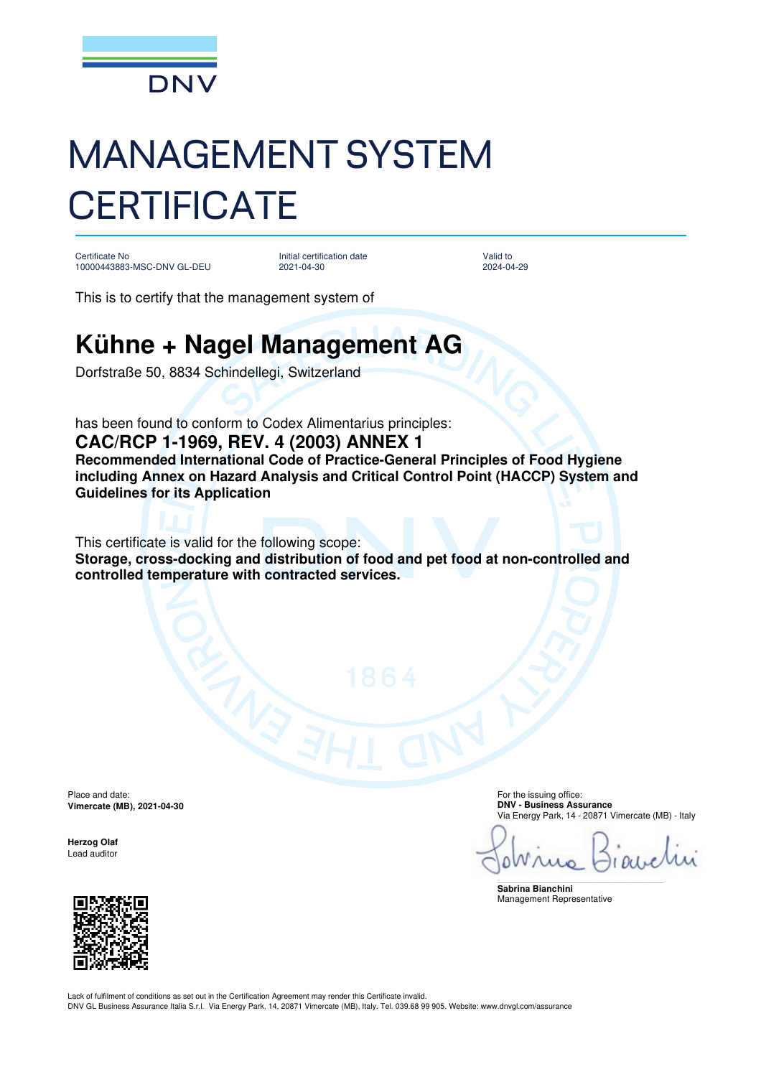

## MANAGEMENT SYSTEM **CERTIFICATE**

Certificate No 10000443883-MSC-DNV GL-DEU

Initial certification date 2021-04-30

Valid to 2024-04-29

This is to certify that the management system of

## **Kühne + Nagel Management AG**

Dorfstraße 50, 8834 Schindellegi, Switzerland

has been found to conform to Codex Alimentarius principles: **CAC/RCP 1-1969, REV. 4 (2003) ANNEX 1 Recommended International Code of Practice-General Principles of Food Hygiene including Annex on Hazard Analysis and Critical Control Point (HACCP) System and Guidelines for its Application**

This certificate is valid for the following scope: **Storage, cross-docking and distribution of food and pet food at non-controlled and controlled temperature with contracted services.**

Place and date: **Vimercate (MB), 2021-04-30** 

**Herzog Olaf**  Lead auditor

For the issuing office: **DNV - Business Assurance**  Via Energy Park, 14 - 20871 Vimercate (MB) - Italy

Ω

\_\_\_\_\_\_\_\_\_\_\_\_\_\_\_\_\_\_\_\_\_\_\_\_\_\_\_\_\_\_\_\_\_\_\_\_\_\_\_\_\_\_\_\_\_\_\_\_\_\_\_\_\_\_\_\_\_\_\_\_\_\_\_\_\_\_\_\_\_\_\_\_\_\_\_\_\_\_ **Sabrina Bianchini**  Management Representative

Lack of fulfilment of conditions as set out in the Certification Agreement may render this Certificate invalid. DNV GL Business Assurance Italia S.r.l. Via Energy Park, 14, 20871 Vimercate (MB), Italy. Tel. 039.68 99 905. Website: www.dnvgl.com/assurance